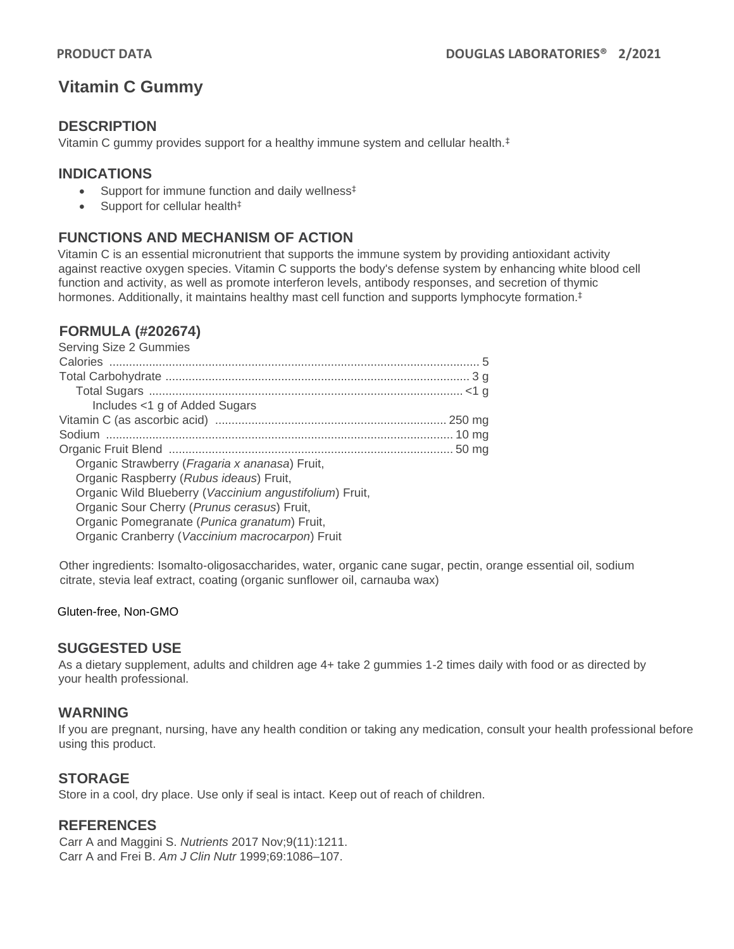# **Vitamin C Gummy**

## **DESCRIPTION**

Vitamin C gummy provides support for a healthy immune system and cellular health.‡

## **INDICATIONS**

- Support for immune function and daily wellness<sup>‡</sup>
- Support for cellular health<sup>‡</sup>

# **FUNCTIONS AND MECHANISM OF ACTION**

Vitamin C is an essential micronutrient that supports the immune system by providing antioxidant activity against reactive oxygen species. Vitamin C supports the body's defense system by enhancing white blood cell function and activity, as well as promote interferon levels, antibody responses, and secretion of thymic hormones. Additionally, it maintains healthy mast cell function and supports lymphocyte formation.<sup>‡</sup>

## **FORMULA (#202674)**

| Serving Size 2 Gummies                                  |  |
|---------------------------------------------------------|--|
|                                                         |  |
|                                                         |  |
|                                                         |  |
| Includes <1 g of Added Sugars                           |  |
|                                                         |  |
|                                                         |  |
|                                                         |  |
| Organic Strawberry ( <i>Fragaria x ananasa</i> ) Fruit, |  |
| Organic Raspberry (Rubus ideaus) Fruit,                 |  |
| Organic Wild Blueberry (Vaccinium angustifolium) Fruit, |  |
| Organic Sour Cherry (Prunus cerasus) Fruit,             |  |
| Organic Pomegranate (Punica granatum) Fruit,            |  |
| Organic Cranberry (Vaccinium macrocarpon) Fruit         |  |
|                                                         |  |

Other ingredients: Isomalto-oligosaccharides, water, organic cane sugar, pectin, orange essential oil, sodium citrate, stevia leaf extract, coating (organic sunflower oil, carnauba wax)

#### Gluten-free, Non-GMO

### **SUGGESTED USE**

As a dietary supplement, adults and children age 4+ take 2 gummies 1-2 times daily with food or as directed by your health professional.

### **WARNING**

If you are pregnant, nursing, have any health condition or taking any medication, consult your health professional before using this product.

## **STORAGE**

Store in a cool, dry place. Use only if seal is intact. Keep out of reach of children.

## **REFERENCES**

Carr A and Maggini S. *Nutrients* 2017 Nov;9(11):1211. Carr A and Frei B. *Am J Clin Nutr* 1999;69:1086–107.